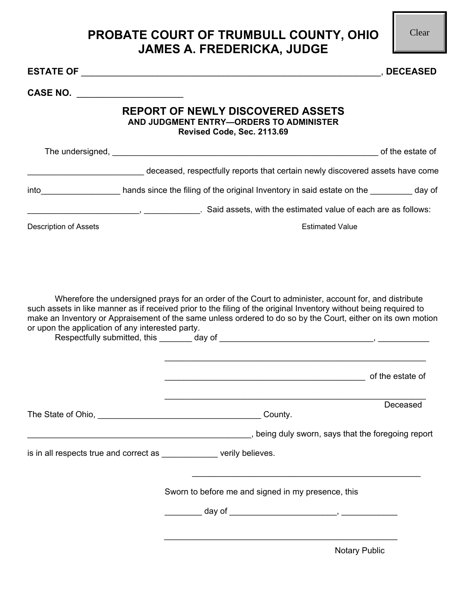## **PROBATE COURT OF TRUMBULL COUNTY, OHIO JAMES A. FREDERICKA, JUDGE**

Clear

|                                                  |                                                                                                                                                                                                                                                                                                                                           | , DECEASED |
|--------------------------------------------------|-------------------------------------------------------------------------------------------------------------------------------------------------------------------------------------------------------------------------------------------------------------------------------------------------------------------------------------------|------------|
| CASE NO. $\qquad \qquad$                         |                                                                                                                                                                                                                                                                                                                                           |            |
|                                                  | <b>REPORT OF NEWLY DISCOVERED ASSETS</b><br>AND JUDGMENT ENTRY-ORDERS TO ADMINISTER<br>Revised Code, Sec. 2113.69                                                                                                                                                                                                                         |            |
|                                                  |                                                                                                                                                                                                                                                                                                                                           |            |
|                                                  | deceased, respectfully reports that certain newly discovered assets have come                                                                                                                                                                                                                                                             |            |
|                                                  | into _______________________hands since the filing of the original Inventory in said estate on the __________day of                                                                                                                                                                                                                       |            |
|                                                  | Said assets, with the estimated value of each are as follows:                                                                                                                                                                                                                                                                             |            |
| <b>Description of Assets</b>                     | <b>Estimated Value</b>                                                                                                                                                                                                                                                                                                                    |            |
| or upon the application of any interested party. | Wherefore the undersigned prays for an order of the Court to administer, account for, and distribute<br>such assets in like manner as if received prior to the filing of the original Inventory without being required to<br>make an Inventory or Appraisement of the same unless ordered to do so by the Court, either on its own motion |            |
|                                                  | of the estate of                                                                                                                                                                                                                                                                                                                          |            |
|                                                  |                                                                                                                                                                                                                                                                                                                                           | Deceased   |
|                                                  | being duly sworn, says that the foregoing report (see also all all the state of the foregoing report                                                                                                                                                                                                                                      |            |
|                                                  | is in all respects true and correct as example of verily believes.                                                                                                                                                                                                                                                                        |            |
|                                                  | Sworn to before me and signed in my presence, this                                                                                                                                                                                                                                                                                        |            |
|                                                  |                                                                                                                                                                                                                                                                                                                                           |            |
|                                                  |                                                                                                                                                                                                                                                                                                                                           |            |